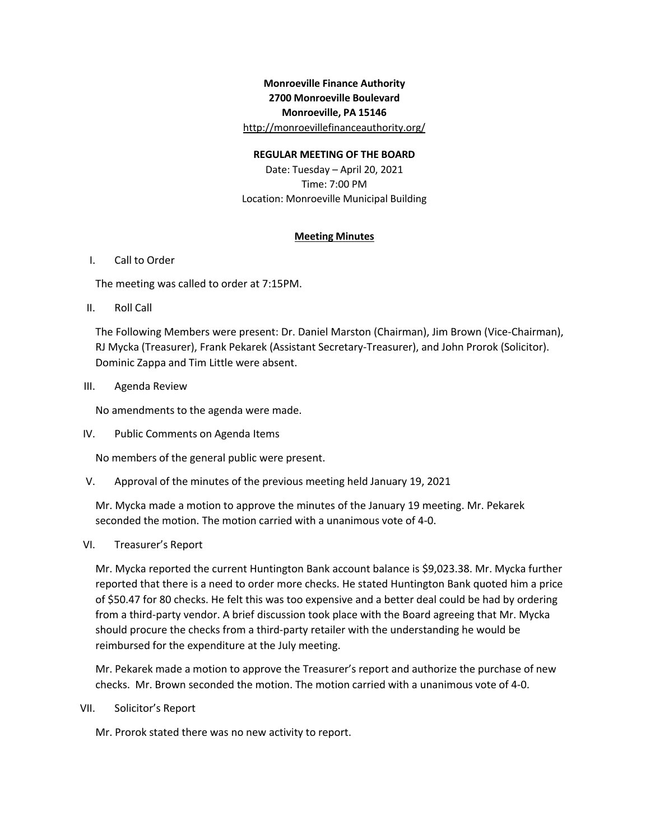# **Monroeville Finance Authority 2700 Monroeville Boulevard Monroeville, PA 15146** http://monroevillefinanceauthority.org/

### **REGULAR MEETING OF THE BOARD**

Date: Tuesday – April 20, 2021 Time: 7:00 PM Location: Monroeville Municipal Building

### **Meeting Minutes**

### I. Call to Order

The meeting was called to order at 7:15PM.

II. Roll Call

The Following Members were present: Dr. Daniel Marston (Chairman), Jim Brown (Vice-Chairman), RJ Mycka (Treasurer), Frank Pekarek (Assistant Secretary-Treasurer), and John Prorok (Solicitor). Dominic Zappa and Tim Little were absent.

III. Agenda Review

No amendments to the agenda were made.

IV. Public Comments on Agenda Items

No members of the general public were present.

V. Approval of the minutes of the previous meeting held January 19, 2021

Mr. Mycka made a motion to approve the minutes of the January 19 meeting. Mr. Pekarek seconded the motion. The motion carried with a unanimous vote of 4-0.

VI. Treasurer's Report

Mr. Mycka reported the current Huntington Bank account balance is \$9,023.38. Mr. Mycka further reported that there is a need to order more checks. He stated Huntington Bank quoted him a price of \$50.47 for 80 checks. He felt this was too expensive and a better deal could be had by ordering from a third-party vendor. A brief discussion took place with the Board agreeing that Mr. Mycka should procure the checks from a third-party retailer with the understanding he would be reimbursed for the expenditure at the July meeting.

Mr. Pekarek made a motion to approve the Treasurer's report and authorize the purchase of new checks. Mr. Brown seconded the motion. The motion carried with a unanimous vote of 4-0.

VII. Solicitor's Report

Mr. Prorok stated there was no new activity to report.